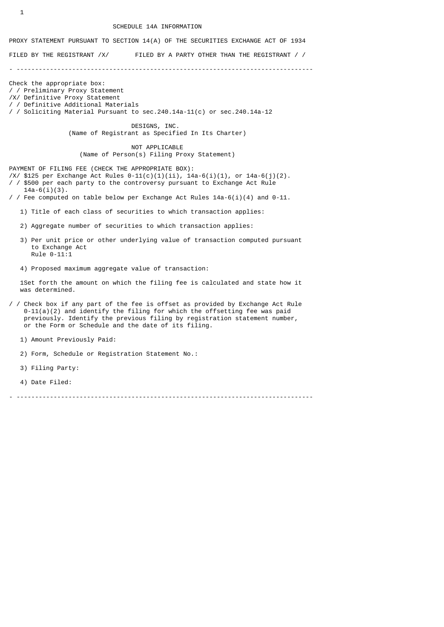#### SCHEDULE 14A INFORMATION

PROXY STATEMENT PURSUANT TO SECTION 14(A) OF THE SECURITIES EXCHANGE ACT OF 1934

FILED BY THE REGISTRANT /X/ FILED BY A PARTY OTHER THAN THE REGISTRANT / /

- --------------------------------------------------------------------------------

Check the appropriate box: / / Preliminary Proxy Statement /X/ Definitive Proxy Statement / / Definitive Additional Materials / / Soliciting Material Pursuant to sec.240.14a-11(c) or sec.240.14a-12

> DESIGNS, INC. (Name of Registrant as Specified In Its Charter)

 NOT APPLICABLE (Name of Person(s) Filing Proxy Statement)

PAYMENT OF FILING FEE (CHECK THE APPROPRIATE BOX):

- /X/ \$125 per Exchange Act Rules  $0-11(c)(1)(ii)$ ,  $14a-6(i)(1)$ , or  $14a-6(j)(2)$ . / / \$500 per each party to the controversy pursuant to Exchange Act Rule
- $14a-6(i)(3)$ . / / Fee computed on table below per Exchange Act Rules 14a-6(i)(4) and 0-11.
	- 1) Title of each class of securities to which transaction applies:
	- 2) Aggregate number of securities to which transaction applies:
	- 3) Per unit price or other underlying value of transaction computed pursuant to Exchange Act Rule 0-11:1
	- 4) Proposed maximum aggregate value of transaction:

 1Set forth the amount on which the filing fee is calculated and state how it was determined.

- / / Check box if any part of the fee is offset as provided by Exchange Act Rule  $0-11(a)(2)$  and identify the filing for which the offsetting fee was paid previously. Identify the previous filing by registration statement number, or the Form or Schedule and the date of its filing.
	- 1) Amount Previously Paid:
	- 2) Form, Schedule or Registration Statement No.:
	- 3) Filing Party:
	- 4) Date Filed:

- --------------------------------------------------------------------------------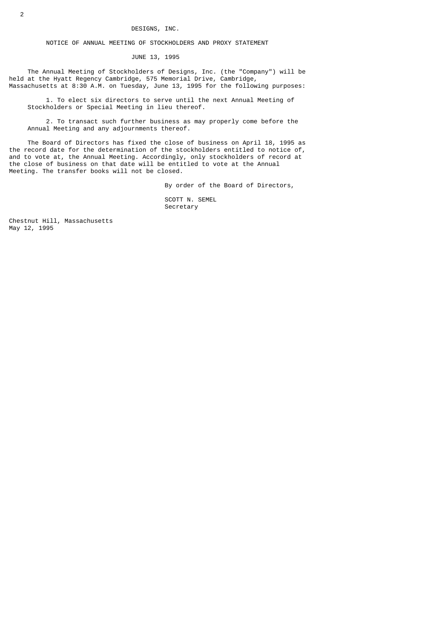# DESIGNS, INC.

NOTICE OF ANNUAL MEETING OF STOCKHOLDERS AND PROXY STATEMENT

JUNE 13, 1995

 The Annual Meeting of Stockholders of Designs, Inc. (the "Company") will be held at the Hyatt Regency Cambridge, 575 Memorial Drive, Cambridge, Massachusetts at 8:30 A.M. on Tuesday, June 13, 1995 for the following purposes:

 1. To elect six directors to serve until the next Annual Meeting of Stockholders or Special Meeting in lieu thereof.

 2. To transact such further business as may properly come before the Annual Meeting and any adjournments thereof.

 The Board of Directors has fixed the close of business on April 18, 1995 as the record date for the determination of the stockholders entitled to notice of, and to vote at, the Annual Meeting. Accordingly, only stockholders of record at the close of business on that date will be entitled to vote at the Annual Meeting. The transfer books will not be closed.

By order of the Board of Directors,

 SCOTT N. SEMEL Secretary

Chestnut Hill, Massachusetts May 12, 1995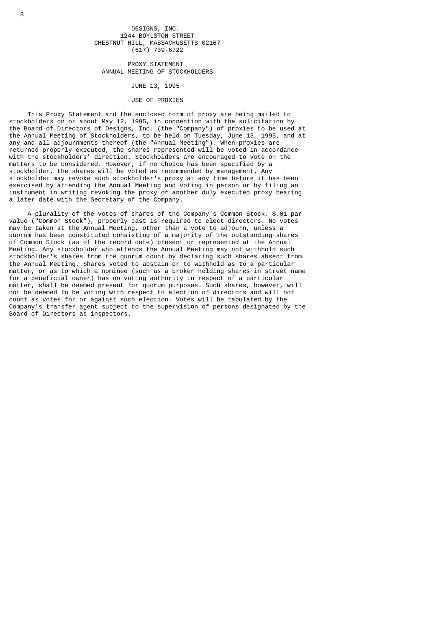DESIGNS, INC. 1244 BOYLSTON STREET CHESTNUT HILL, MASSACHUSETTS 02167 (617) 739-6722

 PROXY STATEMENT ANNUAL MEETING OF STOCKHOLDERS

JUNE 13, 1995

#### USE OF PROXIES

 This Proxy Statement and the enclosed form of proxy are being mailed to stockholders on or about May 12, 1995, in connection with the solicitation by the Board of Directors of Designs, Inc. (the "Company") of proxies to be used at the Annual Meeting of Stockholders, to be held on Tuesday, June 13, 1995, and at any and all adjournments thereof (the "Annual Meeting"). When proxies are returned properly executed, the shares represented will be voted in accordance with the stockholders' direction. Stockholders are encouraged to vote on the matters to be considered. However, if no choice has been specified by a stockholder, the shares will be voted as recommended by management. Any stockholder may revoke such stockholder's proxy at any time before it has been exercised by attending the Annual Meeting and voting in person or by filing an instrument in writing revoking the proxy or another duly executed proxy bearing a later date with the Secretary of the Company.

 A plurality of the votes of shares of the Company's Common Stock, \$.01 par value ("Common Stock"), properly cast is required to elect directors. No votes may be taken at the Annual Meeting, other than a vote to adjourn, unless a quorum has been constituted consisting of a majority of the outstanding shares of Common Stock (as of the record date) present or represented at the Annual Meeting. Any stockholder who attends the Annual Meeting may not withhold such stockholder's shares from the quorum count by declaring such shares absent from the Annual Meeting. Shares voted to abstain or to withhold as to a particular matter, or as to which a nominee (such as a broker holding shares in street name for a beneficial owner) has no voting authority in respect of a particular matter, shall be deemed present for quorum purposes. Such shares, however, will not be deemed to be voting with respect to election of directors and will not count as votes for or against such election. Votes will be tabulated by the Company's transfer agent subject to the supervision of persons designated by the Board of Directors as inspectors.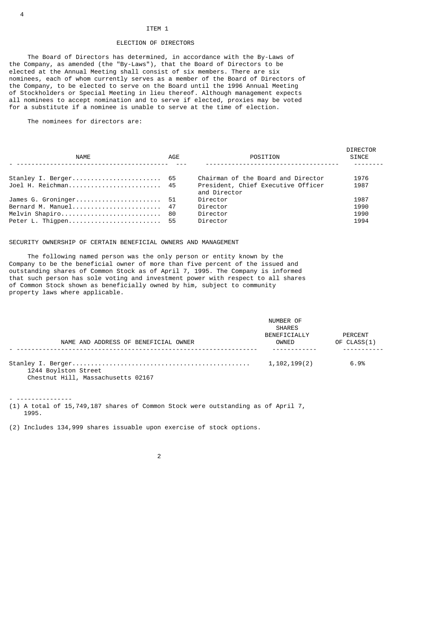#### ITEM 1

## ELECTION OF DIRECTORS

 The Board of Directors has determined, in accordance with the By-Laws of the Company, as amended (the "By-Laws"), that the Board of Directors to be elected at the Annual Meeting shall consist of six members. There are six nominees, each of whom currently serves as a member of the Board of Directors of the Company, to be elected to serve on the Board until the 1996 Annual Meeting of Stockholders or Special Meeting in lieu thereof. Although management expects all nominees to accept nomination and to serve if elected, proxies may be voted for a substitute if a nominee is unable to serve at the time of election.

The nominees for directors are:

| <b>NAME</b>           | AGE | POSITION                                           | <b>DIRECTOR</b><br><b>SINCE</b> |
|-----------------------|-----|----------------------------------------------------|---------------------------------|
| Stanley I. Berger 65  |     | Chairman of the Board and Director                 | 1976                            |
| Joel H. Reichman 45   |     | President, Chief Executive Officer<br>and Director | 1987                            |
| James G. Groninger 51 |     | Director                                           | 1987                            |
| Bernard M. Manuel 47  |     | Director                                           | 1990                            |
| Melvin Shapiro 80     |     | Director                                           | 1990                            |
| Peter L. Thigpen 55   |     | Director                                           | 1994                            |

#### SECURITY OWNERSHIP OF CERTAIN BENEFICIAL OWNERS AND MANAGEMENT

 The following named person was the only person or entity known by the Company to be the beneficial owner of more than five percent of the issued and outstanding shares of Common Stock as of April 7, 1995. The Company is informed that such person has sole voting and investment power with respect to all shares of Common Stock shown as beneficially owned by him, subject to community property laws where applicable.

|                                      | NUMBER OF<br><b>SHARES</b> |                        |
|--------------------------------------|----------------------------|------------------------|
| NAME AND ADDRESS OF BENEFICIAL OWNER | BENEFICIALLY<br>OWNED      | PERCENT<br>OF CLASS(1) |
| 1244 Boylston Street                 | 1,102,199(2)               | 6.9%                   |

Chestnut Hill, Massachusetts 02167

- --------------- (1) A total of 15,749,187 shares of Common Stock were outstanding as of April 7, 1995.

(2) Includes 134,999 shares issuable upon exercise of stock options.

4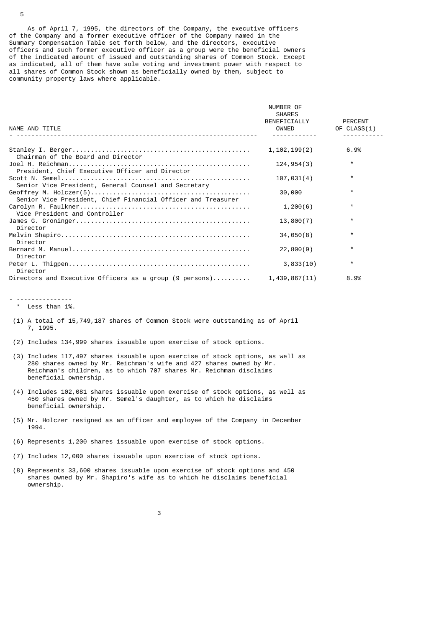As of April 7, 1995, the directors of the Company, the executive officers of the Company and a former executive officer of the Company named in the Summary Compensation Table set forth below, and the directors, executive officers and such former executive officer as a group were the beneficial owners of the indicated amount of issued and outstanding shares of Common Stock. Except as indicated, all of them have sole voting and investment power with respect to all shares of Common Stock shown as beneficially owned by them, subject to community property laws where applicable.

| NAME AND TITLE                                               | NUMBER OF<br><b>SHARES</b><br>BENEFICIALLY<br>OWNED | PERCENT<br>OF CLASS(1) |
|--------------------------------------------------------------|-----------------------------------------------------|------------------------|
|                                                              |                                                     |                        |
| Chairman of the Board and Director                           | 1, 102, 199(2)                                      | 6.9%                   |
| President, Chief Executive Officer and Director              | 124, 954(3)                                         | $\star$                |
| Senior Vice President, General Counsel and Secretary         | 107,031(4)                                          | $\star$                |
| Senior Vice President, Chief Financial Officer and Treasurer | 30,000                                              | $\star$                |
| Vice President and Controller                                | 1,200(6)                                            | $\star$                |
| Director                                                     | 13,800(7)                                           | $\star$                |
| Director                                                     | 34,050(8)                                           | $\star$                |
| Director                                                     | 22,800(9)                                           | $\star$                |
| Director                                                     | 3,833(10)                                           | $\star$                |
| Directors and Executive Officers as a group (9 persons)      | 1,439,867(11)                                       | 8.9%                   |

# - ---------------

\* Less than 1%.

- (1) A total of 15,749,187 shares of Common Stock were outstanding as of April 7, 1995.
- (2) Includes 134,999 shares issuable upon exercise of stock options.
- (3) Includes 117,497 shares issuable upon exercise of stock options, as well as 280 shares owned by Mr. Reichman's wife and 427 shares owned by Mr. Reichman's children, as to which 707 shares Mr. Reichman disclaims beneficial ownership.
- (4) Includes 102,081 shares issuable upon exercise of stock options, as well as 450 shares owned by Mr. Semel's daughter, as to which he disclaims beneficial ownership.
- (5) Mr. Holczer resigned as an officer and employee of the Company in December 1994.
- (6) Represents 1,200 shares issuable upon exercise of stock options.
- (7) Includes 12,000 shares issuable upon exercise of stock options.
- (8) Represents 33,600 shares issuable upon exercise of stock options and 450 shares owned by Mr. Shapiro's wife as to which he disclaims beneficial ownership.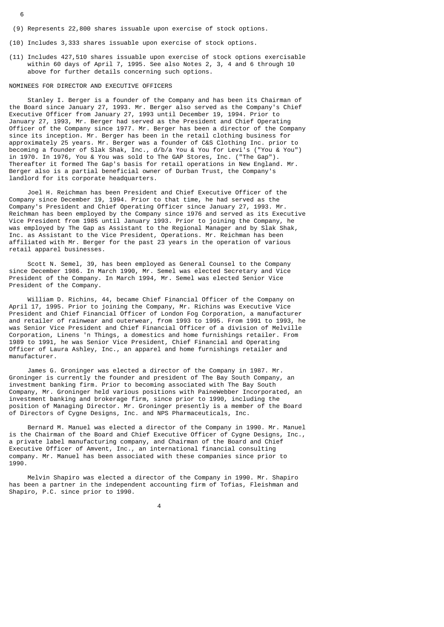- (9) Represents 22,800 shares issuable upon exercise of stock options.
- (10) Includes 3,333 shares issuable upon exercise of stock options.
- (11) Includes 427,510 shares issuable upon exercise of stock options exercisable within 60 days of April 7, 1995. See also Notes 2, 3, 4 and 6 through 10 above for further details concerning such options.

#### NOMINEES FOR DIRECTOR AND EXECUTIVE OFFICERS

 Stanley I. Berger is a founder of the Company and has been its Chairman of the Board since January 27, 1993. Mr. Berger also served as the Company's Chief Executive Officer from January 27, 1993 until December 19, 1994. Prior to January 27, 1993, Mr. Berger had served as the President and Chief Operating Officer of the Company since 1977. Mr. Berger has been a director of the Company since its inception. Mr. Berger has been in the retail clothing business for approximately 25 years. Mr. Berger was a founder of C&S Clothing Inc. prior to becoming a founder of Slak Shak, Inc., d/b/a You & You for Levi's ("You & You") in 1970. In 1976, You & You was sold to The GAP Stores, Inc. ("The Gap"). Thereafter it formed The Gap's basis for retail operations in New England. Mr. Berger also is a partial beneficial owner of Durban Trust, the Company's landlord for its corporate headquarters.

 Joel H. Reichman has been President and Chief Executive Officer of the Company since December 19, 1994. Prior to that time, he had served as the Company's President and Chief Operating Officer since January 27, 1993. Mr. Reichman has been employed by the Company since 1976 and served as its Executive Vice President from 1985 until January 1993. Prior to joining the Company, he was employed by The Gap as Assistant to the Regional Manager and by Slak Shak, Inc. as Assistant to the Vice President, Operations. Mr. Reichman has been affiliated with Mr. Berger for the past 23 years in the operation of various retail apparel businesses.

 Scott N. Semel, 39, has been employed as General Counsel to the Company since December 1986. In March 1990, Mr. Semel was elected Secretary and Vice President of the Company. In March 1994, Mr. Semel was elected Senior Vice President of the Company.

 William D. Richins, 44, became Chief Financial Officer of the Company on April 17, 1995. Prior to joining the Company, Mr. Richins was Executive Vice President and Chief Financial Officer of London Fog Corporation, a manufacturer and retailer of rainwear and outerwear, from 1993 to 1995. From 1991 to 1993, he was Senior Vice President and Chief Financial Officer of a division of Melville Corporation, Linens 'n Things, a domestics and home furnishings retailer. From 1989 to 1991, he was Senior Vice President, Chief Financial and Operating Officer of Laura Ashley, Inc., an apparel and home furnishings retailer and manufacturer.

 James G. Groninger was elected a director of the Company in 1987. Mr. Groninger is currently the founder and president of The Bay South Company, an investment banking firm. Prior to becoming associated with The Bay South Company, Mr. Groninger held various positions with PaineWebber Incorporated, an investment banking and brokerage firm, since prior to 1990, including the position of Managing Director. Mr. Groninger presently is a member of the Board of Directors of Cygne Designs, Inc. and NPS Pharmaceuticals, Inc.

 Bernard M. Manuel was elected a director of the Company in 1990. Mr. Manuel is the Chairman of the Board and Chief Executive Officer of Cygne Designs, Inc., a private label manufacturing company, and Chairman of the Board and Chief Executive Officer of Amvent, Inc., an international financial consulting company. Mr. Manuel has been associated with these companies since prior to 1990.

 Melvin Shapiro was elected a director of the Company in 1990. Mr. Shapiro has been a partner in the independent accounting firm of Tofias, Fleishman and Shapiro, P.C. since prior to 1990.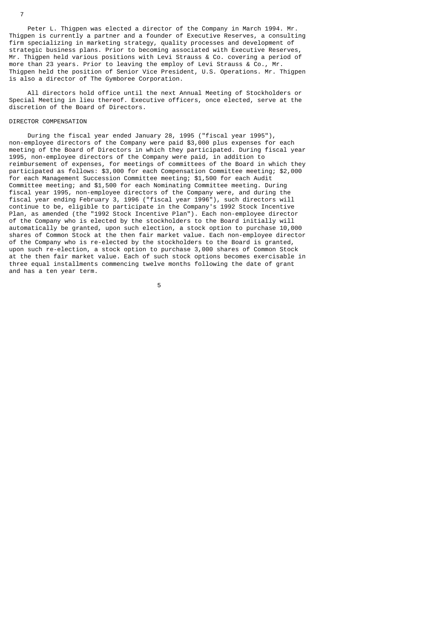Peter L. Thigpen was elected a director of the Company in March 1994. Mr. Thigpen is currently a partner and a founder of Executive Reserves, a consulting firm specializing in marketing strategy, quality processes and development of strategic business plans. Prior to becoming associated with Executive Reserves, Mr. Thigpen held various positions with Levi Strauss & Co. covering a period of more than 23 years. Prior to leaving the employ of Levi Strauss & Co., Mr. Thigpen held the position of Senior Vice President, U.S. Operations. Mr. Thigpen is also a director of The Gymboree Corporation.

 All directors hold office until the next Annual Meeting of Stockholders or Special Meeting in lieu thereof. Executive officers, once elected, serve at the discretion of the Board of Directors.

# DIRECTOR COMPENSATION

 During the fiscal year ended January 28, 1995 ("fiscal year 1995"), non-employee directors of the Company were paid \$3,000 plus expenses for each meeting of the Board of Directors in which they participated. During fiscal year 1995, non-employee directors of the Company were paid, in addition to reimbursement of expenses, for meetings of committees of the Board in which they participated as follows: \$3,000 for each Compensation Committee meeting; \$2,000 for each Management Succession Committee meeting; \$1,500 for each Audit Committee meeting; and \$1,500 for each Nominating Committee meeting. During fiscal year 1995, non-employee directors of the Company were, and during the fiscal year ending February 3, 1996 ("fiscal year 1996"), such directors will continue to be, eligible to participate in the Company's 1992 Stock Incentive Plan, as amended (the "1992 Stock Incentive Plan"). Each non-employee director of the Company who is elected by the stockholders to the Board initially will automatically be granted, upon such election, a stock option to purchase 10,000 shares of Common Stock at the then fair market value. Each non-employee director of the Company who is re-elected by the stockholders to the Board is granted, upon such re-election, a stock option to purchase 3,000 shares of Common Stock at the then fair market value. Each of such stock options becomes exercisable in three equal installments commencing twelve months following the date of grant and has a ten year term.

the contract of the contract of the contract of the contract of the contract of the contract of the contract o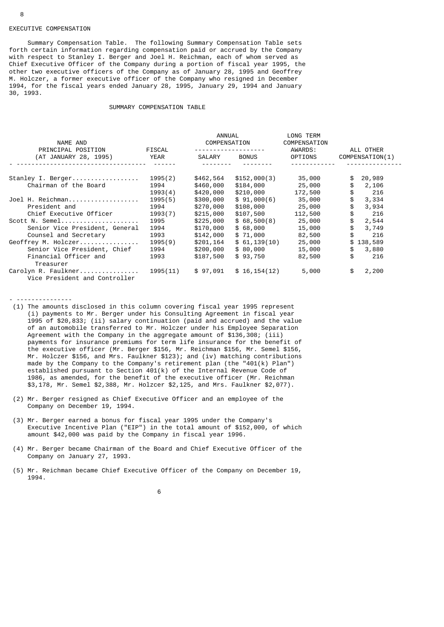#### EXECUTIVE COMPENSATION

 Summary Compensation Table. The following Summary Compensation Table sets forth certain information regarding compensation paid or accrued by the Company with respect to Stanley I. Berger and Joel H. Reichman, each of whom served as Chief Executive Officer of the Company during a portion of fiscal year 1995, the other two executive officers of the Company as of January 28, 1995 and Geoffrey M. Holczer, a former executive officer of the Company who resigned in December 1994, for the fiscal years ended January 28, 1995, January 29, 1994 and January 30, 1993.

#### SUMMARY COMPENSATION TABLE

|                                                      |          | ANNUAL       |                 | LONG TERM               |                 |
|------------------------------------------------------|----------|--------------|-----------------|-------------------------|-----------------|
| NAME AND<br>PRINCIPAL POSITION                       | FISCAL   | COMPENSATION | --------------- | COMPENSATION<br>AWARDS: | ALL OTHER       |
| (AT JANUARY 28, 1995)                                | YEAR     | SALARY       | <b>BONUS</b>    | OPTIONS                 | COMPENSATION(1) |
|                                                      |          |              |                 |                         |                 |
| Stanley I. Berger                                    | 1995(2)  | \$462,564    | \$152,000(3)    | 35,000                  | \$<br>20,989    |
| Chairman of the Board                                | 1994     | \$460,000    | \$184,000       | 25,000                  | \$<br>2,106     |
|                                                      | 1993(4)  | \$420,000    | \$210,000       | 172,500                 | \$<br>216       |
| Joel H. Reichman                                     | 1995(5)  | \$300,000    | \$91,000(6)     | 35,000                  | 3,334           |
| President and                                        | 1994     | \$270,000    | \$108,000       | 25,000                  | \$<br>3,934     |
| Chief Executive Officer                              | 1993(7)  | \$215,000    | \$107,500       | 112,500                 | \$<br>216       |
| Scott N. Semel                                       | 1995     | \$225,000    | \$68,500(8)     | 25,000                  | \$<br>2,544     |
| Senior Vice President, General                       | 1994     | \$170,000    | \$68,000        | 15,000                  | \$<br>3,749     |
| Counsel and Secretary                                | 1993     | \$142,000    | \$71,000        | 82,500                  | \$<br>216       |
| Geoffrey M. Holczer                                  | 1995(9)  | \$201,164    | \$61,139(10)    | 25,000                  | \$138,589       |
| Senior Vice President, Chief                         | 1994     | \$200,000    | \$80,000        | 15,000                  | \$<br>3,880     |
| Financial Officer and<br>Treasurer                   | 1993     | \$187,500    | \$93,750        | 82,500                  | \$<br>216       |
| Carolyn R. Faulkner<br>Vice President and Controller | 1995(11) | \$97,091     | \$16, 154(12)   | 5,000                   | \$<br>2,200     |

- ---------------
- (1) The amounts disclosed in this column covering fiscal year 1995 represent (i) payments to Mr. Berger under his Consulting Agreement in fiscal year 1995 of \$20,833; (ii) salary continuation (paid and accrued) and the value of an automobile transferred to Mr. Holczer under his Employee Separation Agreement with the Company in the aggregate amount of \$136,308; (iii) payments for insurance premiums for term life insurance for the benefit of the executive officer (Mr. Berger \$156, Mr. Reichman \$156, Mr. Semel \$156, Mr. Holczer \$156, and Mrs. Faulkner \$123); and (iv) matching contributions made by the Company to the Company's retirement plan (the  $"401(k)$  Plan") established pursuant to Section 401(k) of the Internal Revenue Code of 1986, as amended, for the benefit of the executive officer (Mr. Reichman \$3,178, Mr. Semel \$2,388, Mr. Holzcer \$2,125, and Mrs. Faulkner \$2,077).
- (2) Mr. Berger resigned as Chief Executive Officer and an employee of the Company on December 19, 1994.
- (3) Mr. Berger earned a bonus for fiscal year 1995 under the Company's Executive Incentive Plan ("EIP") in the total amount of \$152,000, of which amount \$42,000 was paid by the Company in fiscal year 1996.
- (4) Mr. Berger became Chairman of the Board and Chief Executive Officer of the Company on January 27, 1993.
- (5) Mr. Reichman became Chief Executive Officer of the Company on December 19, 1994.

 $\sim$  6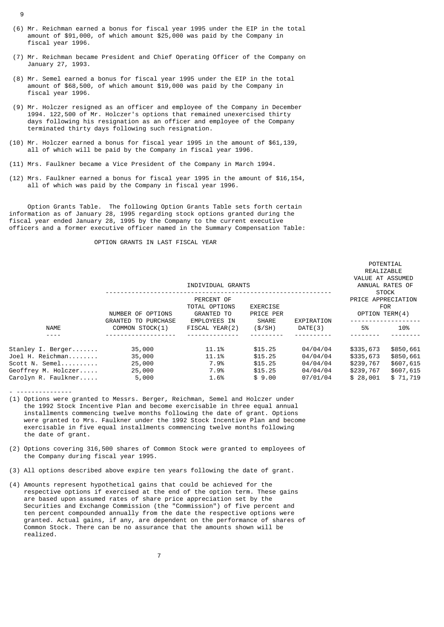- (6) Mr. Reichman earned a bonus for fiscal year 1995 under the EIP in the total amount of \$91,000, of which amount  $$25,000$  was paid by the Company in fiscal year 1996.
- (7) Mr. Reichman became President and Chief Operating Officer of the Company on January 27, 1993.
- (8) Mr. Semel earned a bonus for fiscal year 1995 under the EIP in the total amount of \$68,500, of which amount \$19,000 was paid by the Company in fiscal year 1996.
- (9) Mr. Holczer resigned as an officer and employee of the Company in December 1994. 122,500 of Mr. Holczer's options that remained unexercised thirty days following his resignation as an officer and employee of the Company terminated thirty days following such resignation.
- (10) Mr. Holczer earned a bonus for fiscal year 1995 in the amount of \$61,139, all of which will be paid by the Company in fiscal year 1996.
- (11) Mrs. Faulkner became a Vice President of the Company in March 1994.
- (12) Mrs. Faulkner earned a bonus for fiscal year 1995 in the amount of \$16,154, all of which was paid by the Company in fiscal year 1996.

 Option Grants Table. The following Option Grants Table sets forth certain information as of January 28, 1995 regarding stock options granted during the fiscal year ended January 28, 1995 by the Company to the current executive officers and a former executive officer named in the Summary Compensation Table:

# OPTION GRANTS IN LAST FISCAL YEAR

|                                                                                                       |                                                 | INDIVIDUAL GRANTS                                         |                                                    |                                                          | REALIZABLE<br>VALUE AT ASSUMED                               | ANNUAL RATES OF                                              |
|-------------------------------------------------------------------------------------------------------|-------------------------------------------------|-----------------------------------------------------------|----------------------------------------------------|----------------------------------------------------------|--------------------------------------------------------------|--------------------------------------------------------------|
|                                                                                                       | NUMBER OF OPTIONS<br><b>GRANTED TO PURCHASE</b> | PERCENT OF<br>TOTAL OPTIONS<br>GRANTED TO<br>EMPLOYEES IN | <b>EXERCISE</b><br>PRICE PER<br><b>SHARE</b>       | EXPIRATION                                               | PRICE APPRECIATION<br>OPTION TERM(4)                         | <b>STOCK</b><br><b>FOR</b>                                   |
| <b>NAME</b>                                                                                           | COMMON STOCK(1)                                 | FISCAL YEAR(2)                                            | (S/SH)                                             | DATE(3)                                                  | 5%                                                           | 10%                                                          |
| Stanley I. Berger<br>Joel H. Reichman<br>Scott N. Semel<br>Geoffrey M. Holczer<br>Carolyn R. Faulkner | 35,000<br>35,000<br>25,000<br>25,000<br>5,000   | 11.1%<br>11.1%<br>7.9%<br>7.9%<br>1.6%                    | \$15.25<br>\$15.25<br>\$15.25<br>\$15.25<br>\$9.00 | 04/04/04<br>04/04/04<br>04/04/04<br>04/04/04<br>07/01/04 | \$335,673<br>\$335,673<br>\$239,767<br>\$239,767<br>\$28,001 | \$850,661<br>\$850,661<br>\$607,615<br>\$607,615<br>\$71,719 |

POTENTIAL

- ---------------

- (1) Options were granted to Messrs. Berger, Reichman, Semel and Holczer under the 1992 Stock Incentive Plan and become exercisable in three equal annual installments commencing twelve months following the date of grant. Options were granted to Mrs. Faulkner under the 1992 Stock Incentive Plan and become exercisable in five equal installments commencing twelve months following the date of grant.
- (2) Options covering 316,500 shares of Common Stock were granted to employees of the Company during fiscal year 1995.
- (3) All options described above expire ten years following the date of grant.
- (4) Amounts represent hypothetical gains that could be achieved for the respective options if exercised at the end of the option term. These gains are based upon assumed rates of share price appreciation set by the Securities and Exchange Commission (the "Commission") of five percent and ten percent compounded annually from the date the respective options were granted. Actual gains, if any, are dependent on the performance of shares of Common Stock. There can be no assurance that the amounts shown will be realized.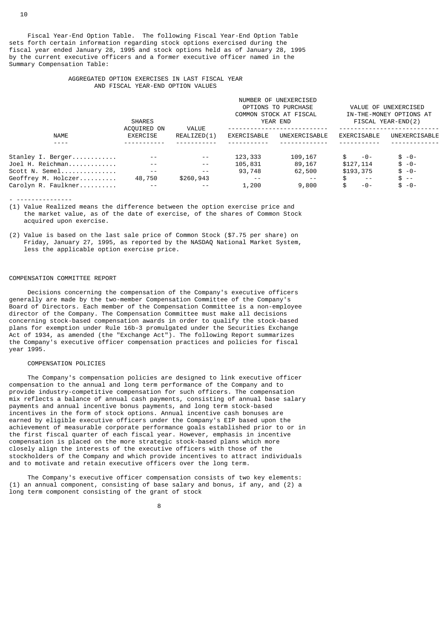Fiscal Year-End Option Table. The following Fiscal Year-End Option Table sets forth certain information regarding stock options exercised during the fiscal year ended January 28, 1995 and stock options held as of January 28, 1995 by the current executive officers and a former executive officer named in the Summary Compensation Table:

#### AGGREGATED OPTION EXERCISES IN LAST FISCAL YEAR AND FISCAL YEAR-END OPTION VALUES

|                     | <b>SHARES</b>           |                      | NUMBER OF UNEXERCISED<br>VALUE OF UNEXERCISED<br>OPTIONS TO PURCHASE<br>COMMON STOCK AT FISCAL<br>IN-THE-MONEY OPTIONS AT<br>FISCAL YEAR-END(2)<br>YEAR END |               |               |               |  |
|---------------------|-------------------------|----------------------|-------------------------------------------------------------------------------------------------------------------------------------------------------------|---------------|---------------|---------------|--|
| <b>NAME</b>         | ACOUIRED ON<br>EXERCISE | VALUE<br>REALIZED(1) | EXERCISABLE                                                                                                                                                 | UNEXERCISABLE | EXERCISABLE   | UNEXERCISABLE |  |
|                     |                         |                      |                                                                                                                                                             |               |               |               |  |
| Stanley I. Berger   |                         |                      | 123,333                                                                                                                                                     | 109,167       | -0-           | $$ -0 -$      |  |
| Joel H. Reichman    | $\sim$ $\sim$           | $\sim$ $\sim$        | 105,831                                                                                                                                                     | 89,167        | \$127,114     | $$ -0 -$      |  |
| Scott N. Semel      | $\sim$ $\sim$           | $\sim$ $\sim$        | 93,748                                                                                                                                                      | 62,500        | \$193,375     | $$ -0 -$      |  |
| Geoffrey M. Holczer | 48,750                  | \$260,943            | $ -$                                                                                                                                                        | $- -$         | $\frac{1}{2}$ | $s -$         |  |
| Carolyn R. Faulkner | $\sim$ $-$              | $\sim$ $\sim$        | 1,200                                                                                                                                                       | 9,800         | \$<br>-0-     | $$ -0 -$      |  |
|                     |                         |                      |                                                                                                                                                             |               |               |               |  |

- ---------------

- (1) Value Realized means the difference between the option exercise price and the market value, as of the date of exercise, of the shares of Common Stock acquired upon exercise.
- (2) Value is based on the last sale price of Common Stock (\$7.75 per share) on Friday, January 27, 1995, as reported by the NASDAQ National Market System, less the applicable option exercise price.

#### COMPENSATION COMMITTEE REPORT

 Decisions concerning the compensation of the Company's executive officers generally are made by the two-member Compensation Committee of the Company's Board of Directors. Each member of the Compensation Committee is a non-employee director of the Company. The Compensation Committee must make all decisions concerning stock-based compensation awards in order to qualify the stock-based plans for exemption under Rule 16b-3 promulgated under the Securities Exchange Act of 1934, as amended (the "Exchange Act"). The following Report summarizes the Company's executive officer compensation practices and policies for fiscal year 1995.

## COMPENSATION POLICIES

 The Company's compensation policies are designed to link executive officer compensation to the annual and long term performance of the Company and to provide industry-competitive compensation for such officers. The compensation mix reflects a balance of annual cash payments, consisting of annual base salary payments and annual incentive bonus payments, and long term stock-based incentives in the form of stock options. Annual incentive cash bonuses are earned by eligible executive officers under the Company's EIP based upon the achievement of measurable corporate performance goals established prior to or in the first fiscal quarter of each fiscal year. However, emphasis in incentive compensation is placed on the more strategic stock-based plans which more closely align the interests of the executive officers with those of the stockholders of the Company and which provide incentives to attract individuals and to motivate and retain executive officers over the long term.

 The Company's executive officer compensation consists of two key elements: (1) an annual component, consisting of base salary and bonus, if any, and (2) a long term component consisting of the grant of stock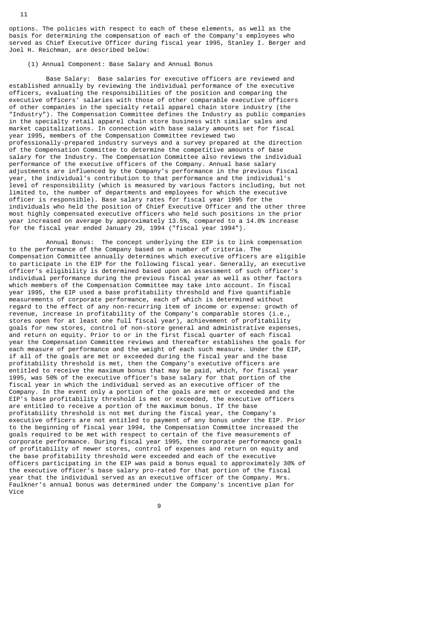options. The policies with respect to each of these elements, as well as the basis for determining the compensation of each of the Company's employees who served as Chief Executive Officer during fiscal year 1995, Stanley I. Berger and Joel H. Reichman, are described below:

(1) Annual Component: Base Salary and Annual Bonus

 Base Salary: Base salaries for executive officers are reviewed and established annually by reviewing the individual performance of the executive officers, evaluating the responsibilities of the position and comparing the executive officers' salaries with those of other comparable executive officers of other companies in the specialty retail apparel chain store industry (the "Industry"). The Compensation Committee defines the Industry as public companies in the specialty retail apparel chain store business with similar sales and market capitalizations. In connection with base salary amounts set for fiscal year 1995, members of the Compensation Committee reviewed two professionally-prepared industry surveys and a survey prepared at the direction of the Compensation Committee to determine the competitive amounts of base salary for the Industry. The Compensation Committee also reviews the individual performance of the executive officers of the Company. Annual base salary adjustments are influenced by the Company's performance in the previous fiscal year, the individual's contribution to that performance and the individual's level of responsibility (which is measured by various factors including, but not limited to, the number of departments and employees for which the executive officer is responsible). Base salary rates for fiscal year 1995 for the individuals who held the position of Chief Executive Officer and the other three most highly compensated executive officers who held such positions in the prior year increased on average by approximately 13.5%, compared to a 14.0% increase for the fiscal year ended January 29, 1994 ("fiscal year 1994").

 Annual Bonus: The concept underlying the EIP is to link compensation to the performance of the Company based on a number of criteria. The Compensation Committee annually determines which executive officers are eligible to participate in the EIP for the following fiscal year. Generally, an executive officer's eligibility is determined based upon an assessment of such officer's individual performance during the previous fiscal year as well as other factors which members of the Compensation Committee may take into account. In fiscal year 1995, the EIP used a base profitability threshold and five quantifiable measurements of corporate performance, each of which is determined without regard to the effect of any non-recurring item of income or expense: growth of revenue, increase in profitability of the Company's comparable stores (i.e., stores open for at least one full fiscal year), achievement of profitability goals for new stores, control of non-store general and administrative expenses, and return on equity. Prior to or in the first fiscal quarter of each fiscal year the Compensation Committee reviews and thereafter establishes the goals for each measure of performance and the weight of each such measure. Under the EIP, if all of the goals are met or exceeded during the fiscal year and the base profitability threshold is met, then the Company's executive officers are entitled to receive the maximum bonus that may be paid, which, for fiscal year 1995, was 50% of the executive officer's base salary for that portion of the fiscal year in which the individual served as an executive officer of the Company. In the event only a portion of the goals are met or exceeded and the EIP's base profitability threshold is met or exceeded, the executive officers are entitled to receive a portion of the maximum bonus. If the base profitability threshold is not met during the fiscal year, the Company's executive officers are not entitled to payment of any bonus under the EIP. Prior to the beginning of fiscal year 1994, the Compensation Committee increased the goals required to be met with respect to certain of the five measurements of corporate performance. During fiscal year 1995, the corporate performance goals of profitability of newer stores, control of expenses and return on equity and the base profitability threshold were exceeded and each of the executive officers participating in the EIP was paid a bonus equal to approximately 30% of the executive officer's base salary pro-rated for that portion of the fiscal year that the individual served as an executive officer of the Company. Mrs. Faulkner's annual bonus was determined under the Company's incentive plan for Vice

9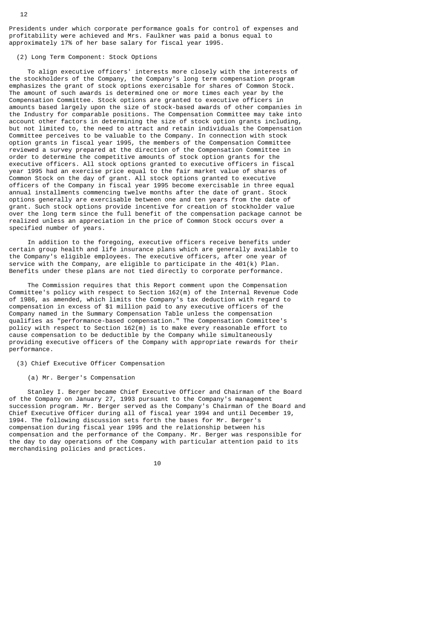Presidents under which corporate performance goals for control of expenses and profitability were achieved and Mrs. Faulkner was paid a bonus equal to approximately 17% of her base salary for fiscal year 1995.

# (2) Long Term Component: Stock Options

 To align executive officers' interests more closely with the interests of the stockholders of the Company, the Company's long term compensation program emphasizes the grant of stock options exercisable for shares of Common Stock. The amount of such awards is determined one or more times each year by the Compensation Committee. Stock options are granted to executive officers in amounts based largely upon the size of stock-based awards of other companies in the Industry for comparable positions. The Compensation Committee may take into account other factors in determining the size of stock option grants including, but not limited to, the need to attract and retain individuals the Compensation Committee perceives to be valuable to the Company. In connection with stock option grants in fiscal year 1995, the members of the Compensation Committee reviewed a survey prepared at the direction of the Compensation Committee in order to determine the competitive amounts of stock option grants for the executive officers. All stock options granted to executive officers in fiscal year 1995 had an exercise price equal to the fair market value of shares of Common Stock on the day of grant. All stock options granted to executive officers of the Company in fiscal year 1995 become exercisable in three equal annual installments commencing twelve months after the date of grant. Stock options generally are exercisable between one and ten years from the date of grant. Such stock options provide incentive for creation of stockholder value over the long term since the full benefit of the compensation package cannot be realized unless an appreciation in the price of Common Stock occurs over a specified number of years.

 In addition to the foregoing, executive officers receive benefits under certain group health and life insurance plans which are generally available to the Company's eligible employees. The executive officers, after one year of service with the Company, are eligible to participate in the 401(k) Plan. Benefits under these plans are not tied directly to corporate performance.

 The Commission requires that this Report comment upon the Compensation Committee's policy with respect to Section 162(m) of the Internal Revenue Code of 1986, as amended, which limits the Company's tax deduction with regard to compensation in excess of \$1 million paid to any executive officers of the Company named in the Summary Compensation Table unless the compensation qualifies as "performance-based compensation." The Compensation Committee's policy with respect to Section 162(m) is to make every reasonable effort to cause compensation to be deductible by the Company while simultaneously providing executive officers of the Company with appropriate rewards for their performance.

(3) Chief Executive Officer Compensation

(a) Mr. Berger's Compensation

 Stanley I. Berger became Chief Executive Officer and Chairman of the Board of the Company on January 27, 1993 pursuant to the Company's management succession program. Mr. Berger served as the Company's Chairman of the Board and Chief Executive Officer during all of fiscal year 1994 and until December 19, 1994. The following discussion sets forth the bases for Mr. Berger's compensation during fiscal year 1995 and the relationship between his compensation and the performance of the Company. Mr. Berger was responsible for the day to day operations of the Company with particular attention paid to its merchandising policies and practices.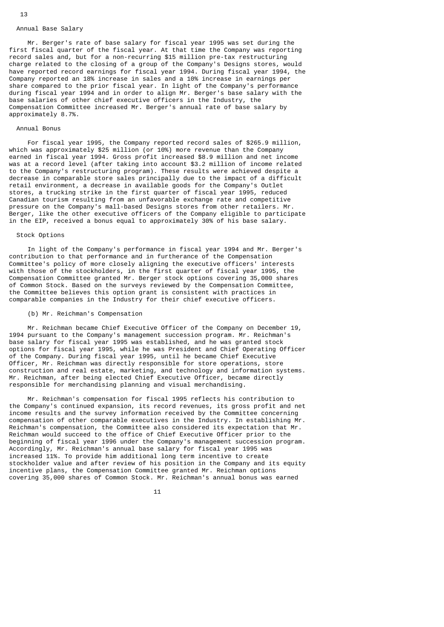#### Annual Base Salary

 Mr. Berger's rate of base salary for fiscal year 1995 was set during the first fiscal quarter of the fiscal year. At that time the Company was reporting record sales and, but for a non-recurring \$15 million pre-tax restructuring charge related to the closing of a group of the Company's Designs stores, would have reported record earnings for fiscal year 1994. During fiscal year 1994, the Company reported an 18% increase in sales and a 10% increase in earnings per share compared to the prior fiscal year. In light of the Company's performance during fiscal year 1994 and in order to align Mr. Berger's base salary with the base salaries of other chief executive officers in the Industry, the Compensation Committee increased Mr. Berger's annual rate of base salary by approximately 8.7%.

## Annual Bonus

 For fiscal year 1995, the Company reported record sales of \$265.9 million, which was approximately \$25 million (or 10%) more revenue than the Company earned in fiscal year 1994. Gross profit increased \$8.9 million and net income was at a record level (after taking into account \$3.2 million of income related to the Company's restructuring program). These results were achieved despite a decrease in comparable store sales principally due to the impact of a difficult retail environment, a decrease in available goods for the Company's Outlet stores, a trucking strike in the first quarter of fiscal year 1995, reduced Canadian tourism resulting from an unfavorable exchange rate and competitive pressure on the Company's mall-based Designs stores from other retailers. Mr. Berger, like the other executive officers of the Company eligible to participate in the EIP, received a bonus equal to approximately 30% of his base salary.

# Stock Options

 In light of the Company's performance in fiscal year 1994 and Mr. Berger's contribution to that performance and in furtherance of the Compensation Committee's policy of more closely aligning the executive officers' interests with those of the stockholders, in the first quarter of fiscal year 1995, the Compensation Committee granted Mr. Berger stock options covering 35,000 shares of Common Stock. Based on the surveys reviewed by the Compensation Committee, the Committee believes this option grant is consistent with practices in comparable companies in the Industry for their chief executive officers.

# (b) Mr. Reichman's Compensation

 Mr. Reichman became Chief Executive Officer of the Company on December 19, 1994 pursuant to the Company's management succession program. Mr. Reichman's base salary for fiscal year 1995 was established, and he was granted stock options for fiscal year 1995, while he was President and Chief Operating Officer of the Company. During fiscal year 1995, until he became Chief Executive Officer, Mr. Reichman was directly responsible for store operations, store construction and real estate, marketing, and technology and information systems. Mr. Reichman, after being elected Chief Executive Officer, became directly responsible for merchandising planning and visual merchandising.

 Mr. Reichman's compensation for fiscal 1995 reflects his contribution to the Company's continued expansion, its record revenues, its gross profit and net income results and the survey information received by the Committee concerning compensation of other comparable executives in the Industry. In establishing Mr. Reichman's compensation, the Committee also considered its expectation that Mr. Reichman would succeed to the office of Chief Executive Officer prior to the beginning of fiscal year 1996 under the Company's management succession program. Accordingly, Mr. Reichman's annual base salary for fiscal year 1995 was increased 11%. To provide him additional long term incentive to create stockholder value and after review of his position in the Company and its equity incentive plans, the Compensation Committee granted Mr. Reichman options covering 35,000 shares of Common Stock. Mr. Reichman's annual bonus was earned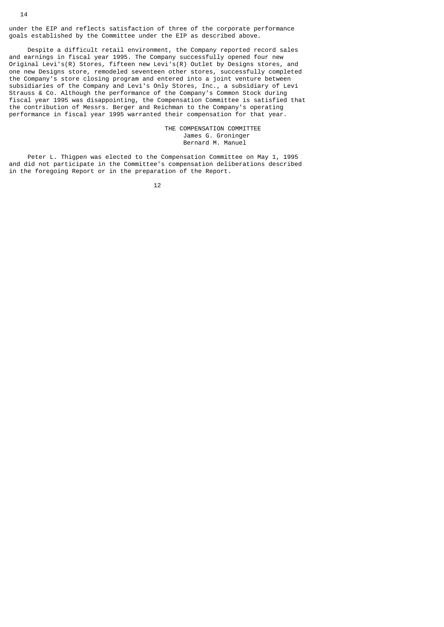under the EIP and reflects satisfaction of three of the corporate performance goals established by the Committee under the EIP as described above.

 Despite a difficult retail environment, the Company reported record sales and earnings in fiscal year 1995. The Company successfully opened four new Original Levi's(R) Stores, fifteen new Levi's(R) Outlet by Designs stores, and one new Designs store, remodeled seventeen other stores, successfully completed the Company's store closing program and entered into a joint venture between subsidiaries of the Company and Levi's Only Stores, Inc., a subsidiary of Levi Strauss & Co. Although the performance of the Company's Common Stock during fiscal year 1995 was disappointing, the Compensation Committee is satisfied that the contribution of Messrs. Berger and Reichman to the Company's operating performance in fiscal year 1995 warranted their compensation for that year.

> THE COMPENSATION COMMITTEE James G. Groninger Bernard M. Manuel

 Peter L. Thigpen was elected to the Compensation Committee on May 1, 1995 and did not participate in the Committee's compensation deliberations described in the foregoing Report or in the preparation of the Report.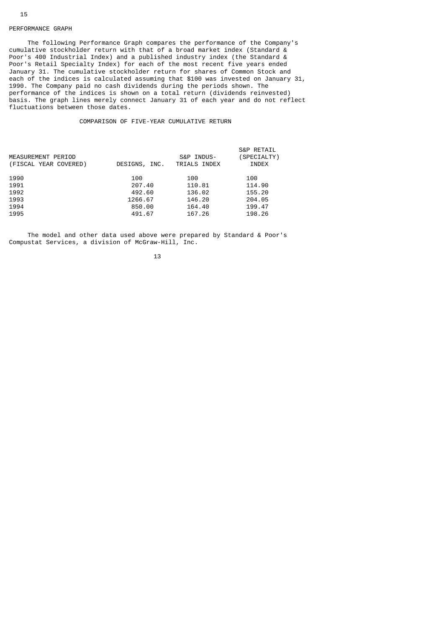# PERFORMANCE GRAPH

 The following Performance Graph compares the performance of the Company's cumulative stockholder return with that of a broad market index (Standard & Poor's 400 Industrial Index) and a published industry index (the Standard & Poor's Retail Specialty Index) for each of the most recent five years ended January 31. The cumulative stockholder return for shares of Common Stock and each of the indices is calculated assuming that \$100 was invested on January 31, 1990. The Company paid no cash dividends during the periods shown. The performance of the indices is shown on a total return (dividends reinvested) basis. The graph lines merely connect January 31 of each year and do not reflect fluctuations between those dates.

#### COMPARISON OF FIVE-YEAR CUMULATIVE RETURN

| DESIGNS, INC. | S&P INDUS-<br>TRIALS INDEX | <b>S&amp;P RETAIL</b><br>(SPECIALTY)<br>INDEX |
|---------------|----------------------------|-----------------------------------------------|
| 100           | 100                        | 100                                           |
| 207.40        | 110.81                     | 114.90                                        |
| 492.60        | 136.02                     | 155.20                                        |
| 1266.67       | 146.20                     | 204.05                                        |
| 850.00        | 164.40                     | 199.47                                        |
| 491.67        | 167.26                     | 198.26                                        |
|               |                            |                                               |

 The model and other data used above were prepared by Standard & Poor's Compustat Services, a division of McGraw-Hill, Inc.

13 and 13 and 13 and 13 and 13 and 13 and 13 and 13 and 13 and 13 and 13 and 13 and 13 and 13 and 13 and 13 an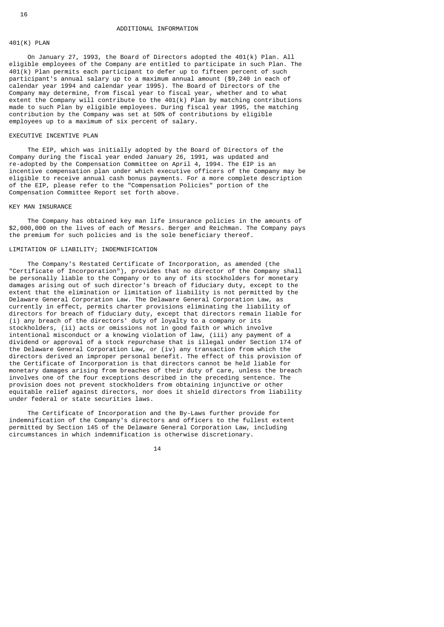# 401(K) PLAN

 On January 27, 1993, the Board of Directors adopted the 401(k) Plan. All eligible employees of the Company are entitled to participate in such Plan. The 401(k) Plan permits each participant to defer up to fifteen percent of such participant's annual salary up to a maximum annual amount (\$9,240 in each of calendar year 1994 and calendar year 1995). The Board of Directors of the Company may determine, from fiscal year to fiscal year, whether and to what extent the Company will contribute to the  $401(k)$  Plan by matching contributions made to such Plan by eligible employees. During fiscal year 1995, the matching contribution by the Company was set at 50% of contributions by eligible employees up to a maximum of six percent of salary.

# EXECUTIVE INCENTIVE PLAN

 The EIP, which was initially adopted by the Board of Directors of the Company during the fiscal year ended January 26, 1991, was updated and re-adopted by the Compensation Committee on April 4, 1994. The EIP is an incentive compensation plan under which executive officers of the Company may be eligible to receive annual cash bonus payments. For a more complete description of the EIP, please refer to the "Compensation Policies" portion of the Compensation Committee Report set forth above.

#### KEY MAN INSURANCE

 The Company has obtained key man life insurance policies in the amounts of \$2,000,000 on the lives of each of Messrs. Berger and Reichman. The Company pays the premium for such policies and is the sole beneficiary thereof.

# LIMITATION OF LIABILITY; INDEMNIFICATION

 The Company's Restated Certificate of Incorporation, as amended (the "Certificate of Incorporation"), provides that no director of the Company shall be personally liable to the Company or to any of its stockholders for monetary damages arising out of such director's breach of fiduciary duty, except to the extent that the elimination or limitation of liability is not permitted by the Delaware General Corporation Law. The Delaware General Corporation Law, as currently in effect, permits charter provisions eliminating the liability of directors for breach of fiduciary duty, except that directors remain liable for (i) any breach of the directors' duty of loyalty to a company or its stockholders, (ii) acts or omissions not in good faith or which involve intentional misconduct or a knowing violation of law, (iii) any payment of a dividend or approval of a stock repurchase that is illegal under Section 174 of the Delaware General Corporation Law, or (iv) any transaction from which the directors derived an improper personal benefit. The effect of this provision of the Certificate of Incorporation is that directors cannot be held liable for monetary damages arising from breaches of their duty of care, unless the breach involves one of the four exceptions described in the preceding sentence. The provision does not prevent stockholders from obtaining injunctive or other equitable relief against directors, nor does it shield directors from liability under federal or state securities laws.

 The Certificate of Incorporation and the By-Laws further provide for indemnification of the Company's directors and officers to the fullest extent permitted by Section 145 of the Delaware General Corporation Law, including circumstances in which indemnification is otherwise discretionary.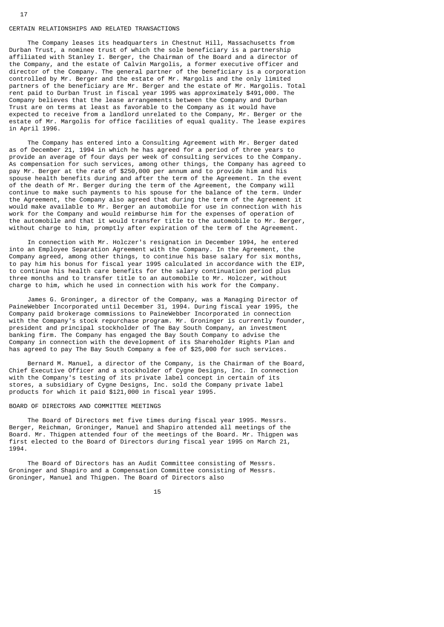#### CERTAIN RELATIONSHIPS AND RELATED TRANSACTIONS

 The Company leases its headquarters in Chestnut Hill, Massachusetts from Durban Trust, a nominee trust of which the sole beneficiary is a partnership affiliated with Stanley I. Berger, the Chairman of the Board and a director of the Company, and the estate of Calvin Margolis, a former executive officer and director of the Company. The general partner of the beneficiary is a corporation controlled by Mr. Berger and the estate of Mr. Margolis and the only limited partners of the beneficiary are Mr. Berger and the estate of Mr. Margolis. Total rent paid to Durban Trust in fiscal year 1995 was approximately \$491,000. The Company believes that the lease arrangements between the Company and Durban Trust are on terms at least as favorable to the Company as it would have expected to receive from a landlord unrelated to the Company, Mr. Berger or the estate of Mr. Margolis for office facilities of equal quality. The lease expires in April 1996.

 The Company has entered into a Consulting Agreement with Mr. Berger dated as of December 21, 1994 in which he has agreed for a period of three years to provide an average of four days per week of consulting services to the Company. As compensation for such services, among other things, the Company has agreed to pay Mr. Berger at the rate of \$250,000 per annum and to provide him and his spouse health benefits during and after the term of the Agreement. In the event of the death of Mr. Berger during the term of the Agreement, the Company will continue to make such payments to his spouse for the balance of the term. Under the Agreement, the Company also agreed that during the term of the Agreement it would make available to Mr. Berger an automobile for use in connection with his work for the Company and would reimburse him for the expenses of operation of the automobile and that it would transfer title to the automobile to Mr. Berger, without charge to him, promptly after expiration of the term of the Agreement.

 In connection with Mr. Holczer's resignation in December 1994, he entered into an Employee Separation Agreement with the Company. In the Agreement, the Company agreed, among other things, to continue his base salary for six months, to pay him his bonus for fiscal year 1995 calculated in accordance with the EIP, to continue his health care benefits for the salary continuation period plus three months and to transfer title to an automobile to Mr. Holczer, without charge to him, which he used in connection with his work for the Company.

 James G. Groninger, a director of the Company, was a Managing Director of PaineWebber Incorporated until December 31, 1994. During fiscal year 1995, the Company paid brokerage commissions to PaineWebber Incorporated in connection with the Company's stock repurchase program. Mr. Groninger is currently founder, president and principal stockholder of The Bay South Company, an investment banking firm. The Company has engaged the Bay South Company to advise the Company in connection with the development of its Shareholder Rights Plan and has agreed to pay The Bay South Company a fee of \$25,000 for such services.

 Bernard M. Manuel, a director of the Company, is the Chairman of the Board, Chief Executive Officer and a stockholder of Cygne Designs, Inc. In connection with the Company's testing of its private label concept in certain of its stores, a subsidiary of Cygne Designs, Inc. sold the Company private label products for which it paid \$121,000 in fiscal year 1995.

# BOARD OF DIRECTORS AND COMMITTEE MEETINGS

 The Board of Directors met five times during fiscal year 1995. Messrs. Berger, Reichman, Groninger, Manuel and Shapiro attended all meetings of the Board. Mr. Thigpen attended four of the meetings of the Board. Mr. Thigpen was first elected to the Board of Directors during fiscal year 1995 on March 21, 1994.

 The Board of Directors has an Audit Committee consisting of Messrs. Groninger and Shapiro and a Compensation Committee consisting of Messrs. Groninger, Manuel and Thigpen. The Board of Directors also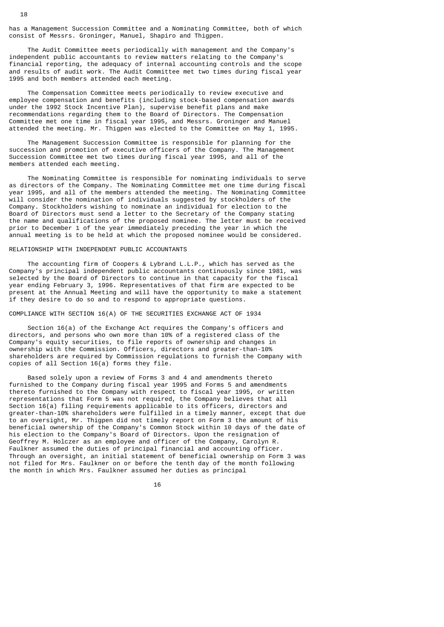has a Management Succession Committee and a Nominating Committee, both of which consist of Messrs. Groninger, Manuel, Shapiro and Thigpen.

 The Audit Committee meets periodically with management and the Company's independent public accountants to review matters relating to the Company's financial reporting, the adequacy of internal accounting controls and the scope and results of audit work. The Audit Committee met two times during fiscal year 1995 and both members attended each meeting.

 The Compensation Committee meets periodically to review executive and employee compensation and benefits (including stock-based compensation awards under the 1992 Stock Incentive Plan), supervise benefit plans and make recommendations regarding them to the Board of Directors. The Compensation Committee met one time in fiscal year 1995, and Messrs. Groninger and Manuel attended the meeting. Mr. Thigpen was elected to the Committee on May 1, 1995.

 The Management Succession Committee is responsible for planning for the succession and promotion of executive officers of the Company. The Management Succession Committee met two times during fiscal year 1995, and all of the members attended each meeting.

 The Nominating Committee is responsible for nominating individuals to serve as directors of the Company. The Nominating Committee met one time during fiscal year 1995, and all of the members attended the meeting. The Nominating Committee will consider the nomination of individuals suggested by stockholders of the Company. Stockholders wishing to nominate an individual for election to the Board of Directors must send a letter to the Secretary of the Company stating the name and qualifications of the proposed nominee. The letter must be received prior to December 1 of the year immediately preceding the year in which the annual meeting is to be held at which the proposed nominee would be considered.

## RELATIONSHIP WITH INDEPENDENT PUBLIC ACCOUNTANTS

 The accounting firm of Coopers & Lybrand L.L.P., which has served as the Company's principal independent public accountants continuously since 1981, was selected by the Board of Directors to continue in that capacity for the fiscal year ending February 3, 1996. Representatives of that firm are expected to be present at the Annual Meeting and will have the opportunity to make a statement if they desire to do so and to respond to appropriate questions.

COMPLIANCE WITH SECTION 16(A) OF THE SECURITIES EXCHANGE ACT OF 1934

 Section 16(a) of the Exchange Act requires the Company's officers and directors, and persons who own more than 10% of a registered class of the Company's equity securities, to file reports of ownership and changes in ownership with the Commission. Officers, directors and greater-than-10% shareholders are required by Commission regulations to furnish the Company with copies of all Section 16(a) forms they file.

 Based solely upon a review of Forms 3 and 4 and amendments thereto furnished to the Company during fiscal year 1995 and Forms 5 and amendments thereto furnished to the Company with respect to fiscal year 1995, or written representations that Form 5 was not required, the Company believes that all Section 16(a) filing requirements applicable to its officers, directors and greater-than-10% shareholders were fulfilled in a timely manner, except that due to an oversight, Mr. Thigpen did not timely report on Form 3 the amount of his beneficial ownership of the Company's Common Stock within 10 days of the date of his election to the Company's Board of Directors. Upon the resignation of Geoffrey M. Holczer as an employee and officer of the Company, Carolyn R. Faulkner assumed the duties of principal financial and accounting officer. Through an oversight, an initial statement of beneficial ownership on Form 3 was not filed for Mrs. Faulkner on or before the tenth day of the month following the month in which Mrs. Faulkner assumed her duties as principal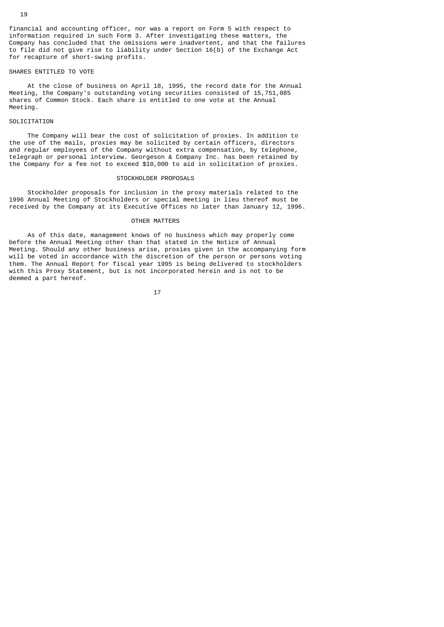financial and accounting officer, nor was a report on Form 5 with respect to information required in such Form 3. After investigating these matters, the Company has concluded that the omissions were inadvertent, and that the failures to file did not give rise to liability under Section 16(b) of the Exchange Act for recapture of short-swing profits.

#### SHARES ENTITLED TO VOTE

 At the close of business on April 18, 1995, the record date for the Annual Meeting, the Company's outstanding voting securities consisted of 15,751,085 shares of Common Stock. Each share is entitled to one vote at the Annual Meeting.

#### **SOLICITATION**

 The Company will bear the cost of solicitation of proxies. In addition to the use of the mails, proxies may be solicited by certain officers, directors and regular employees of the Company without extra compensation, by telephone, telegraph or personal interview. Georgeson & Company Inc. has been retained by the Company for a fee not to exceed \$10,000 to aid in solicitation of proxies.

#### STOCKHOLDER PROPOSALS

 Stockholder proposals for inclusion in the proxy materials related to the 1996 Annual Meeting of Stockholders or special meeting in lieu thereof must be received by the Company at its Executive Offices no later than January 12, 1996.

#### OTHER MATTERS

 As of this date, management knows of no business which may properly come before the Annual Meeting other than that stated in the Notice of Annual Meeting. Should any other business arise, proxies given in the accompanying form will be voted in accordance with the discretion of the person or persons voting them. The Annual Report for fiscal year 1995 is being delivered to stockholders with this Proxy Statement, but is not incorporated herein and is not to be deemed a part hereof.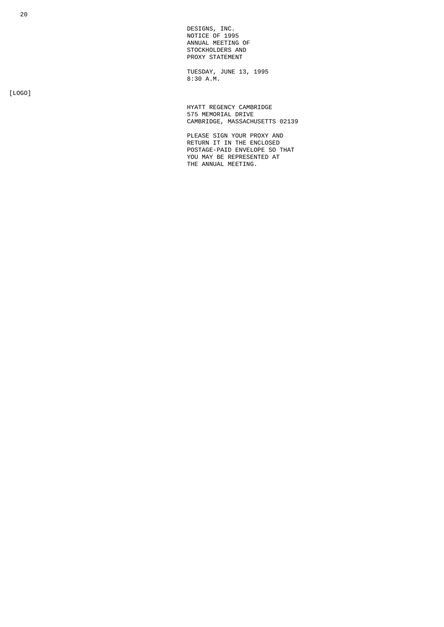DESIGNS, INC. NOTICE OF 1995 ANNUAL MEETING OF STOCKHOLDERS AND PROXY STATEMENT

 TUESDAY, JUNE 13, 1995  $8:30 \text{ A.M.}$ 

[LOGO]

 HYATT REGENCY CAMBRIDGE 575 MEMORIAL DRIVE CAMBRIDGE, MASSACHUSETTS 02139

> PLEASE SIGN YOUR PROXY AND RETURN IT IN THE ENCLOSED POSTAGE-PAID ENVELOPE SO THAT YOU MAY BE REPRESENTED AT THE ANNUAL MEETING.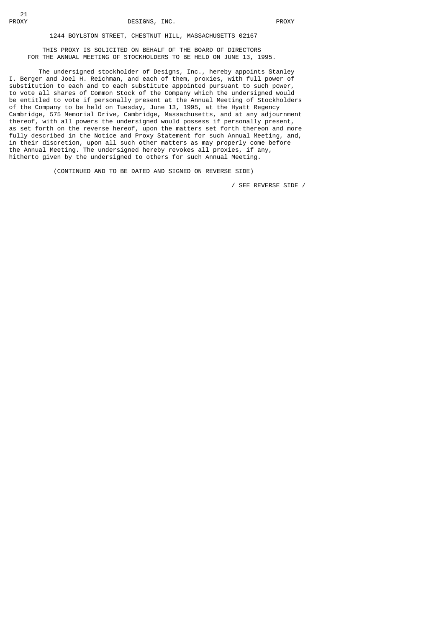# 1244 BOYLSTON STREET, CHESTNUT HILL, MASSACHUSETTS 02167

 THIS PROXY IS SOLICITED ON BEHALF OF THE BOARD OF DIRECTORS FOR THE ANNUAL MEETING OF STOCKHOLDERS TO BE HELD ON JUNE 13, 1995.

 The undersigned stockholder of Designs, Inc., hereby appoints Stanley I. Berger and Joel H. Reichman, and each of them, proxies, with full power of substitution to each and to each substitute appointed pursuant to such power, to vote all shares of Common Stock of the Company which the undersigned would be entitled to vote if personally present at the Annual Meeting of Stockholders of the Company to be held on Tuesday, June 13, 1995, at the Hyatt Regency Cambridge, 575 Memorial Drive, Cambridge, Massachusetts, and at any adjournment thereof, with all powers the undersigned would possess if personally present, as set forth on the reverse hereof, upon the matters set forth thereon and more fully described in the Notice and Proxy Statement for such Annual Meeting, and, in their discretion, upon all such other matters as may properly come before the Annual Meeting. The undersigned hereby revokes all proxies, if any, hitherto given by the undersigned to others for such Annual Meeting.

(CONTINUED AND TO BE DATED AND SIGNED ON REVERSE SIDE)

/ SEE REVERSE SIDE /